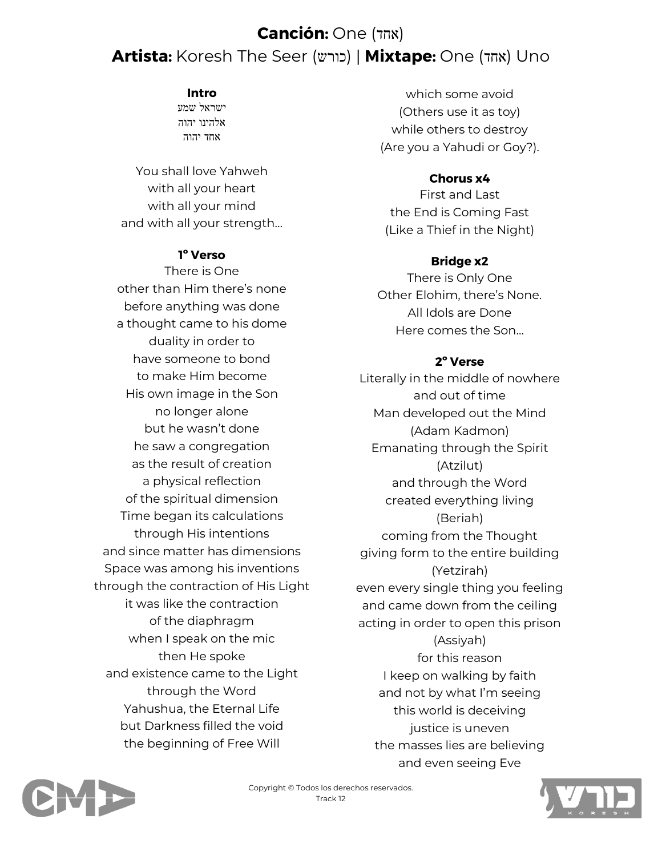# **Canción:** One (אחד) **Artista:** Koresh The Seer (כורש | (**Mixtape:** One (אחד (Uno

### **Intro**

ישראל שמע אלהינו יהוה אחד יהוה

You shall love Yahweh with all your heart with all your mind and with all your strength…

## **1º Verso**

There is One other than Him there's none before anything was done a thought came to his dome duality in order to have someone to bond to make Him become His own image in the Son no longer alone but he wasn't done he saw a congregation as the result of creation a physical reflection of the spiritual dimension Time began its calculations through His intentions and since matter has dimensions Space was among his inventions through the contraction of His Light it was like the contraction of the diaphragm when I speak on the mic then He spoke and existence came to the Light through the Word Yahushua, the Eternal Life but Darkness filled the void the beginning of Free Will

which some avoid (Others use it as toy) while others to destroy (Are you a Yahudi or Goy?).

## **Chorus x4**

First and Last the End is Coming Fast (Like a Thief in the Night)

## **Bridge x2**

There is Only One Other Elohim, there's None. All Idols are Done Here comes the Son…

## **2º Verse**

Literally in the middle of nowhere and out of time Man developed out the Mind (Adam Kadmon) Emanating through the Spirit (Atzilut) and through the Word created everything living (Beriah) coming from the Thought giving form to the entire building (Yetzirah) even every single thing you feeling and came down from the ceiling acting in order to open this prison (Assiyah) for this reason I keep on walking by faith and not by what I'm seeing this world is deceiving justice is uneven the masses lies are believing and even seeing Eve